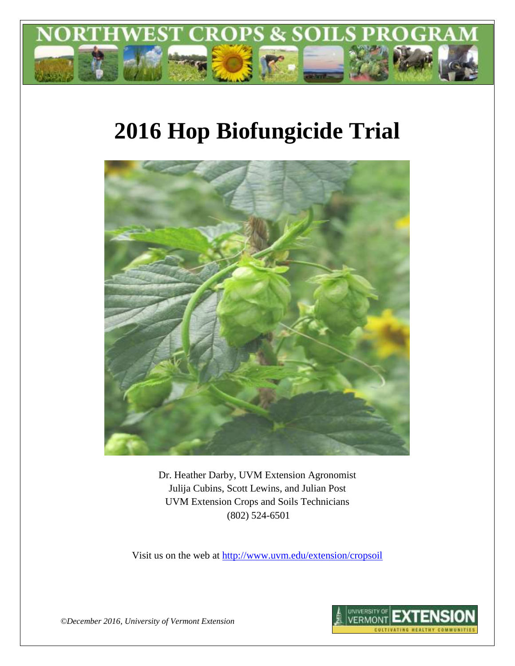

# **2016 Hop Biofungicide Trial**



Dr. Heather Darby, UVM Extension Agronomist Julija Cubins, Scott Lewins, and Julian Post UVM Extension Crops and Soils Technicians (802) 524-6501

Visit us on the web at <http://www.uvm.edu/extension/cropsoil>



*©December 2016, University of Vermont Extension*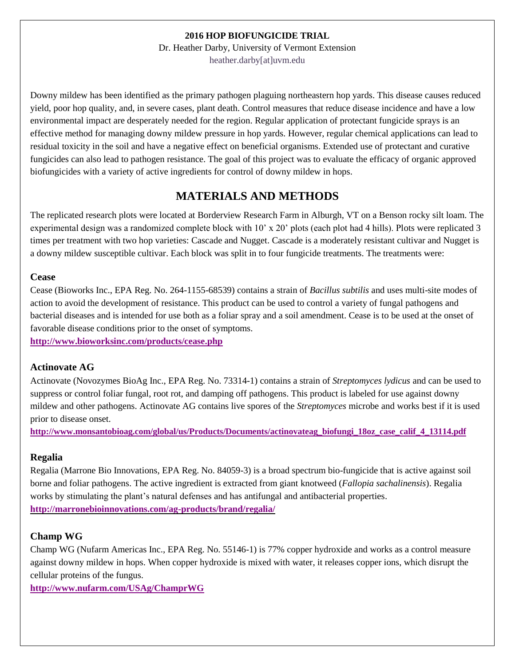## **2016 HOP BIOFUNGICIDE TRIAL**

Dr. Heather Darby, University of Vermont Extension heather.darby[at]uvm.edu

Downy mildew has been identified as the primary pathogen plaguing northeastern hop yards. This disease causes reduced yield, poor hop quality, and, in severe cases, plant death. Control measures that reduce disease incidence and have a low environmental impact are desperately needed for the region. Regular application of protectant fungicide sprays is an effective method for managing downy mildew pressure in hop yards. However, regular chemical applications can lead to residual toxicity in the soil and have a negative effect on beneficial organisms. Extended use of protectant and curative fungicides can also lead to pathogen resistance. The goal of this project was to evaluate the efficacy of organic approved biofungicides with a variety of active ingredients for control of downy mildew in hops.

# **MATERIALS AND METHODS**

The replicated research plots were located at Borderview Research Farm in Alburgh, VT on a Benson rocky silt loam. The experimental design was a randomized complete block with 10' x 20' plots (each plot had 4 hills). Plots were replicated 3 times per treatment with two hop varieties: Cascade and Nugget. Cascade is a moderately resistant cultivar and Nugget is a downy mildew susceptible cultivar. Each block was split in to four fungicide treatments. The treatments were:

## **Cease**

Cease (Bioworks Inc., EPA Reg. No. 264-1155-68539) contains a strain of *Bacillus subtilis* and uses multi-site modes of action to avoid the development of resistance. This product can be used to control a variety of fungal pathogens and bacterial diseases and is intended for use both as a foliar spray and a soil amendment. Cease is to be used at the onset of favorable disease conditions prior to the onset of symptoms.

**<http://www.bioworksinc.com/products/cease.php>**

## **Actinovate AG**

Actinovate (Novozymes BioAg Inc., EPA Reg. No. 73314-1) contains a strain of *Streptomyces lydicus* and can be used to suppress or control foliar fungal, root rot, and damping off pathogens. This product is labeled for use against downy mildew and other pathogens. Actinovate AG contains live spores of the *Streptomyces* microbe and works best if it is used prior to disease onset.

**[http://www.monsantobioag.com/global/us/Products/Documents/actinovateag\\_biofungi\\_18oz\\_case\\_calif\\_4\\_13114.pdf](http://www.monsantobioag.com/global/us/Products/Documents/actinovateag_biofungi_18oz_case_calif_4_13114.pdf)**

## **Regalia**

Regalia (Marrone Bio Innovations, EPA Reg. No. 84059-3) is a broad spectrum bio-fungicide that is active against soil borne and foliar pathogens. The active ingredient is extracted from giant knotweed (*Fallopia sachalinensis*). Regalia works by stimulating the plant's natural defenses and has antifungal and antibacterial properties. **<http://marronebioinnovations.com/ag-products/brand/regalia/>**

## **Champ WG**

Champ WG (Nufarm Americas Inc., EPA Reg. No. 55146-1) is 77% copper hydroxide and works as a control measure against downy mildew in hops. When copper hydroxide is mixed with water, it releases copper ions, which disrupt the cellular proteins of the fungus.

**<http://www.nufarm.com/USAg/ChamprWG>**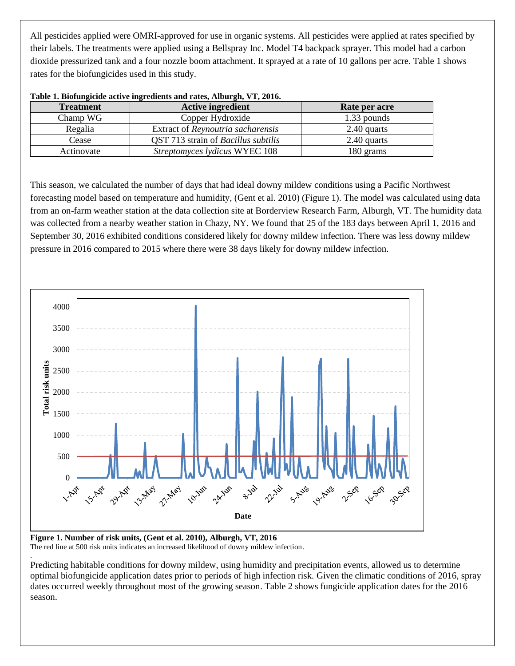All pesticides applied were OMRI-approved for use in organic systems. All pesticides were applied at rates specified by their labels. The treatments were applied using a Bellspray Inc. Model T4 backpack sprayer. This model had a carbon dioxide pressurized tank and a four nozzle boom attachment. It sprayed at a rate of 10 gallons per acre. Table 1 shows rates for the biofungicides used in this study.

| <b>Treatment</b> | <b>Active ingredient</b>                   | Rate per acre |
|------------------|--------------------------------------------|---------------|
| Champ WG         | Copper Hydroxide                           | 1.33 pounds   |
| Regalia          | Extract of Reynoutria sacharensis          | 2.40 quarts   |
| Cease            | QST 713 strain of <i>Bacillus subtilis</i> | 2.40 quarts   |
| Actinovate       | <i>Streptomyces lydicus</i> WYEC 108       | 180 grams     |

| Table 1. Biofungicide active ingredients and rates, Alburgh, VT, 2016. |  |  |  |
|------------------------------------------------------------------------|--|--|--|

This season, we calculated the number of days that had ideal downy mildew conditions using a Pacific Northwest forecasting model based on temperature and humidity, (Gent et al. 2010) (Figure 1). The model was calculated using data from an on-farm weather station at the data collection site at Borderview Research Farm, Alburgh, VT. The humidity data was collected from a nearby weather station in Chazy, NY. We found that 25 of the 183 days between April 1, 2016 and September 30, 2016 exhibited conditions considered likely for downy mildew infection. There was less downy mildew pressure in 2016 compared to 2015 where there were 38 days likely for downy mildew infection.



**Figure 1. Number of risk units, (Gent et al. 2010), Alburgh, VT, 2016** The red line at 500 risk units indicates an increased likelihood of downy mildew infection.

.

Predicting habitable conditions for downy mildew, using humidity and precipitation events, allowed us to determine optimal biofungicide application dates prior to periods of high infection risk. Given the climatic conditions of 2016, spray dates occurred weekly throughout most of the growing season. Table 2 shows fungicide application dates for the 2016 season.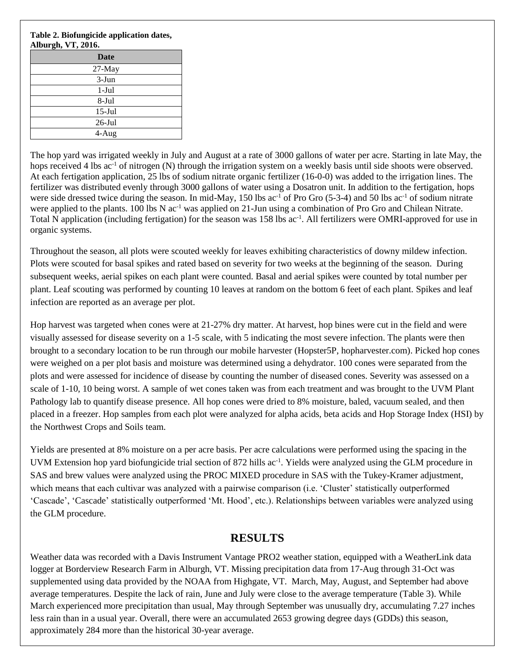## **Table 2. Biofungicide application dates, Alburgh, VT, 2016.**

| 87          |
|-------------|
| <b>Date</b> |
| 27-May      |
| $3-Jun$     |
| $1-Jul$     |
| 8-Jul       |
| $15$ -Jul   |
| $26$ -Jul   |
| 4-Aug       |
|             |

The hop yard was irrigated weekly in July and August at a rate of 3000 gallons of water per acre. Starting in late May, the hops received 4 lbs ac<sup>-1</sup> of nitrogen (N) through the irrigation system on a weekly basis until side shoots were observed. At each fertigation application, 25 lbs of sodium nitrate organic fertilizer (16-0-0) was added to the irrigation lines. The fertilizer was distributed evenly through 3000 gallons of water using a Dosatron unit. In addition to the fertigation, hops were side dressed twice during the season. In mid-May, 150 lbs  $ac^{-1}$  of Pro Gro (5-3-4) and 50 lbs  $ac^{-1}$  of sodium nitrate were applied to the plants. 100 lbs N ac<sup>-1</sup> was applied on 21-Jun using a combination of Pro Gro and Chilean Nitrate. Total N application (including fertigation) for the season was 158 lbs ac<sup>-1</sup>. All fertilizers were OMRI-approved for use in organic systems.

Throughout the season, all plots were scouted weekly for leaves exhibiting characteristics of downy mildew infection. Plots were scouted for basal spikes and rated based on severity for two weeks at the beginning of the season. During subsequent weeks, aerial spikes on each plant were counted. Basal and aerial spikes were counted by total number per plant. Leaf scouting was performed by counting 10 leaves at random on the bottom 6 feet of each plant. Spikes and leaf infection are reported as an average per plot.

Hop harvest was targeted when cones were at 21-27% dry matter. At harvest, hop bines were cut in the field and were visually assessed for disease severity on a 1-5 scale, with 5 indicating the most severe infection. The plants were then brought to a secondary location to be run through our mobile harvester (Hopster5P, hopharvester.com). Picked hop cones were weighed on a per plot basis and moisture was determined using a dehydrator. 100 cones were separated from the plots and were assessed for incidence of disease by counting the number of diseased cones. Severity was assessed on a scale of 1-10, 10 being worst. A sample of wet cones taken was from each treatment and was brought to the UVM Plant Pathology lab to quantify disease presence. All hop cones were dried to 8% moisture, baled, vacuum sealed, and then placed in a freezer. Hop samples from each plot were analyzed for alpha acids, beta acids and Hop Storage Index (HSI) by the Northwest Crops and Soils team.

Yields are presented at 8% moisture on a per acre basis. Per acre calculations were performed using the spacing in the UVM Extension hop yard biofungicide trial section of 872 hills ac<sup>-1</sup>. Yields were analyzed using the GLM procedure in SAS and brew values were analyzed using the PROC MIXED procedure in SAS with the Tukey-Kramer adjustment, which means that each cultivar was analyzed with a pairwise comparison (i.e. 'Cluster' statistically outperformed 'Cascade', 'Cascade' statistically outperformed 'Mt. Hood', etc.). Relationships between variables were analyzed using the GLM procedure.

# **RESULTS**

Weather data was recorded with a Davis Instrument Vantage PRO2 weather station, equipped with a WeatherLink data logger at Borderview Research Farm in Alburgh, VT. Missing precipitation data from 17-Aug through 31-Oct was supplemented using data provided by the NOAA from Highgate, VT. March, May, August, and September had above average temperatures. Despite the lack of rain, June and July were close to the average temperature (Table 3). While March experienced more precipitation than usual, May through September was unusually dry, accumulating 7.27 inches less rain than in a usual year. Overall, there were an accumulated 2653 growing degree days (GDDs) this season, approximately 284 more than the historical 30-year average.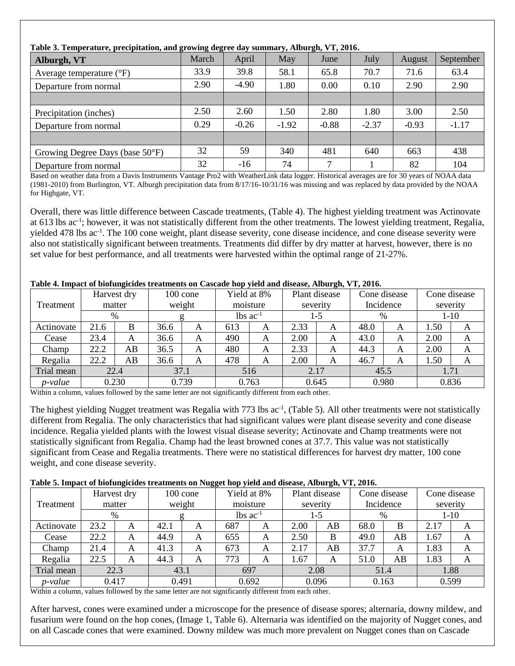| Table 3. Temperature, precipitation, and growing degree day summary, Alburgh, VT, 2016. |       |         |         |         |         |         |           |  |  |
|-----------------------------------------------------------------------------------------|-------|---------|---------|---------|---------|---------|-----------|--|--|
| Alburgh, VT                                                                             | March | April   | May     | June    | July    | August  | September |  |  |
| Average temperature $({}^{\circ}F)$                                                     | 33.9  | 39.8    | 58.1    | 65.8    | 70.7    | 71.6    | 63.4      |  |  |
| Departure from normal                                                                   | 2.90  | $-4.90$ | 1.80    | 0.00    | 0.10    | 2.90    | 2.90      |  |  |
|                                                                                         |       |         |         |         |         |         |           |  |  |
| Precipitation (inches)                                                                  | 2.50  | 2.60    | 1.50    | 2.80    | 1.80    | 3.00    | 2.50      |  |  |
| Departure from normal                                                                   | 0.29  | $-0.26$ | $-1.92$ | $-0.88$ | $-2.37$ | $-0.93$ | $-1.17$   |  |  |
|                                                                                         |       |         |         |         |         |         |           |  |  |
| Growing Degree Days (base 50°F)                                                         | 32    | 59      | 340     | 481     | 640     | 663     | 438       |  |  |
| Departure from normal                                                                   | 32    | $-16$   | 74      | 7       |         | 82      | 104       |  |  |

## **Table 3. Temperature, precipitation, and growing degree day summary, Alburgh, VT, 2016.**

Based on weather data from a Davis Instruments Vantage Pro2 with WeatherLink data logger. Historical averages are for 30 years of NOAA data (1981-2010) from Burlington, VT. Alburgh precipitation data from 8/17/16-10/31/16 was missing and was replaced by data provided by the NOAA for Highgate, VT.

Overall, there was little difference between Cascade treatments, (Table 4). The highest yielding treatment was Actinovate at 613 lbs ac<sup>-1</sup>; however, it was not statistically different from the other treatments. The lowest yielding treatment, Regalia, yielded 478 lbs ac<sup>-1</sup>. The 100 cone weight, plant disease severity, cone disease incidence, and cone disease severity were also not statistically significant between treatments. Treatments did differ by dry matter at harvest, however, there is no set value for best performance, and all treatments were harvested within the optimal range of 21-27%.

## **Table 4. Impact of biofungicides treatments on Cascade hop yield and disease, Alburgh, VT, 2016.**

|                 |      | Harvest dry |      | $100$ cone |                               | Yield at 8% | Plant disease |     |      | Cone disease |          | Cone disease |
|-----------------|------|-------------|------|------------|-------------------------------|-------------|---------------|-----|------|--------------|----------|--------------|
| Treatment       |      | matter      |      | weight     |                               | moisture    | severity      |     |      | Incidence    | severity |              |
|                 |      | %           |      |            | $\text{lbs}$ ac <sup>-1</sup> |             |               | 1-5 | %    |              |          | $1-10$       |
| Actinovate      | 21.6 | B           | 36.6 | A          | 613                           | A           | 2.33          | A   | 48.0 | A            | 1.50     | A            |
| Cease           | 23.4 | A           | 36.6 | A          | 490                           | A           | 2.00          | A   | 43.0 | A            | 2.00     | A            |
| Champ           | 22.2 | AB          | 36.5 | A          | 480                           | A           | 2.33          | A   | 44.3 | A            | 2.00     | A            |
| Regalia         | 22.2 | AB          | 36.6 | A          | 478                           | A           | 2.00          | A   | 46.7 | A            | 1.50     | A            |
| Trial mean      |      | 22.4        | 37.1 |            |                               | 516         | 2.17          |     | 45.5 |              | 1.71     |              |
| <i>p</i> -value |      | 0.230       |      | 0.739      |                               | 0.763       | 0.645         |     |      | 0.980        |          | 0.836        |

Within a column, values followed by the same letter are not significantly different from each other.

The highest yielding Nugget treatment was Regalia with 773 lbs ac<sup>-1</sup>, (Table 5). All other treatments were not statistically different from Regalia. The only characteristics that had significant values were plant disease severity and cone disease incidence. Regalia yielded plants with the lowest visual disease severity; Actinovate and Champ treatments were not statistically significant from Regalia. Champ had the least browned cones at 37.7. This value was not statistically significant from Cease and Regalia treatments. There were no statistical differences for harvest dry matter, 100 cone weight, and cone disease severity.

## **Table 5. Impact of biofungicides treatments on Nugget hop yield and disease, Alburgh, VT, 2016.**

|                 |      | Harvest dry |       | Ö<br>$100 \text{ cone}$ |     | Yield at 8%            |      | $\sim$<br>Plant disease |      | Cone disease |          | Cone disease |
|-----------------|------|-------------|-------|-------------------------|-----|------------------------|------|-------------------------|------|--------------|----------|--------------|
| Treatment       |      | matter      |       | weight                  |     | moisture               |      | severity                |      | Incidence    | severity |              |
|                 |      | %           |       |                         |     | $lbs$ ac <sup>-1</sup> |      | 1-5                     | %    |              |          | 1-10         |
| Actinovate      | 23.2 | A           | 42.1  | A                       | 687 | A                      | 2.00 | AB                      | 68.0 | B            | 2.17     |              |
| Cease           | 22.2 | A           | 44.9  | A                       | 655 | A                      | 2.50 | B                       | 49.0 | AB           | 1.67     | A            |
| Champ           | 21.4 | A           | 41.3  | A                       | 673 | A                      | 2.17 | AB                      | 37.7 | A            | 1.83     | A            |
| Regalia         | 22.5 | A           | 44.3  | A                       | 773 | A                      | 1.67 | A                       | 51.0 | AB           | 1.83     | A            |
| Trial mean      |      | 22.3        | 43.1  |                         |     | 697                    |      | 2.08                    |      | 51.4         |          | 1.88         |
| <i>p</i> -value |      | 0.417       | 0.491 |                         |     | 0.692                  |      | 0.096                   |      | 0.163        |          | 0.599        |

Within a column, values followed by the same letter are not significantly different from each other.

After harvest, cones were examined under a microscope for the presence of disease spores; alternaria, downy mildew, and fusarium were found on the hop cones, (Image 1, Table 6). Alternaria was identified on the majority of Nugget cones, and on all Cascade cones that were examined. Downy mildew was much more prevalent on Nugget cones than on Cascade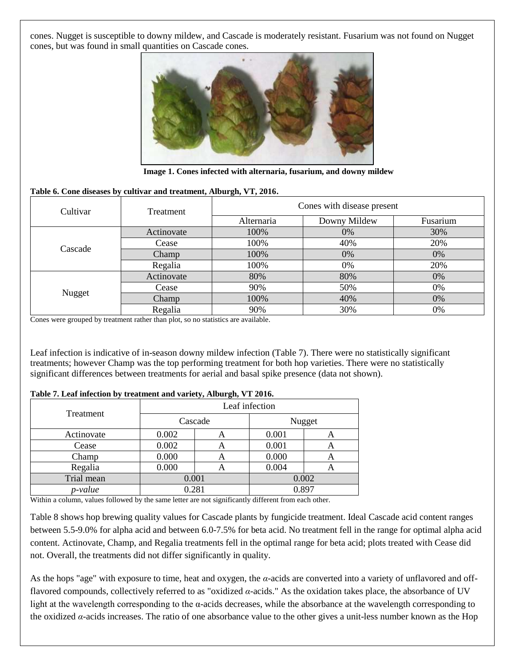cones. Nugget is susceptible to downy mildew, and Cascade is moderately resistant. Fusarium was not found on Nugget cones, but was found in small quantities on Cascade cones.



**Image 1. Cones infected with alternaria, fusarium, and downy mildew**

### **Table 6. Cone diseases by cultivar and treatment, Alburgh, VT, 2016.**

| Cultivar | Treatment  | Cones with disease present |              |          |  |  |  |
|----------|------------|----------------------------|--------------|----------|--|--|--|
|          |            | Alternaria                 | Downy Mildew | Fusarium |  |  |  |
|          | Actinovate | 100%                       | 0%           | 30%      |  |  |  |
| Cascade  | Cease      | 100%                       | 40%          | 20%      |  |  |  |
|          | Champ      | 100%                       | 0%           | 0%       |  |  |  |
|          | Regalia    | 100%                       | 0%           | 20%      |  |  |  |
|          | Actinovate | 80%                        | 80%          | 0%       |  |  |  |
|          | Cease      | 90%                        | 50%          | 0%       |  |  |  |
| Nugget   | Champ      | 100%                       | 40%          | 0%       |  |  |  |
|          | Regalia    | 90%                        | 30%          | 0%       |  |  |  |

Cones were grouped by treatment rather than plot, so no statistics are available.

Leaf infection is indicative of in-season downy mildew infection (Table 7). There were no statistically significant treatments; however Champ was the top performing treatment for both hop varieties. There were no statistically significant differences between treatments for aerial and basal spike presence (data not shown).

|            | Leaf infection |         |        |   |  |  |  |
|------------|----------------|---------|--------|---|--|--|--|
| Treatment  |                | Cascade | Nugget |   |  |  |  |
| Actinovate | 0.002          | A       | 0.001  | A |  |  |  |
| Cease      | 0.002          | Α       | 0.001  | Α |  |  |  |
| Champ      | 0.000          | Α       | 0.000  | А |  |  |  |
| Regalia    | 0.000          | Α       | 0.004  | Α |  |  |  |
| Trial mean | 0.001          |         | 0.002  |   |  |  |  |
| p-value    | 0.281          |         | 0.897  |   |  |  |  |

### **Table 7. Leaf infection by treatment and variety, Alburgh, VT 2016.**

Within a column, values followed by the same letter are not significantly different from each other.

Table 8 shows hop brewing quality values for Cascade plants by fungicide treatment. Ideal Cascade acid content ranges between 5.5-9.0% for alpha acid and between 6.0-7.5% for beta acid. No treatment fell in the range for optimal alpha acid content. Actinovate, Champ, and Regalia treatments fell in the optimal range for beta acid; plots treated with Cease did not. Overall, the treatments did not differ significantly in quality.

As the hops "age" with exposure to time, heat and oxygen, the *α-*acids are converted into a variety of unflavored and offflavored compounds, collectively referred to as "oxidized *α-*acids." As the oxidation takes place, the absorbance of UV light at the wavelength corresponding to the α-acids decreases, while the absorbance at the wavelength corresponding to the oxidized *α-*acids increases. The ratio of one absorbance value to the other gives a unit-less number known as the Hop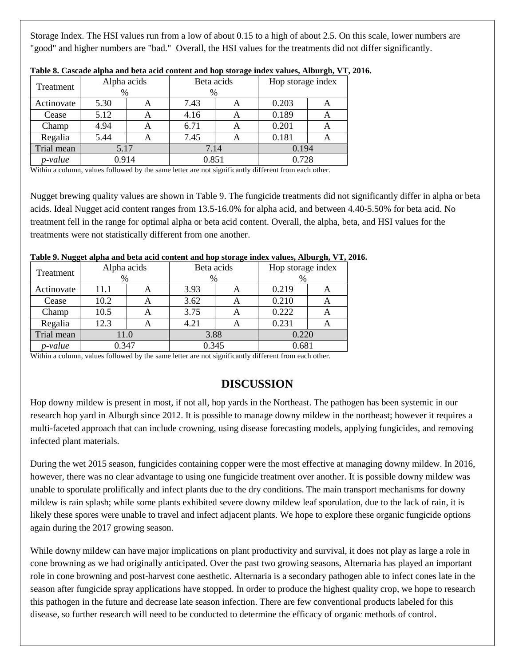Storage Index. The HSI values run from a low of about 0.15 to a high of about 2.5. On this scale, lower numbers are "good" and higher numbers are "bad." Overall, the HSI values for the treatments did not differ significantly.

| Treatment  | Alpha acids |   | Beta acids |       | Hop storage index |       |  |
|------------|-------------|---|------------|-------|-------------------|-------|--|
|            | $\%$        |   | $\%$       |       |                   |       |  |
| Actinovate | 5.30        | A | 7.43       | A     | 0.203             | A     |  |
| Cease      | 5.12        | А | 4.16       | A     | 0.189             | A     |  |
| Champ      | 4.94        | А | 6.71       | Α     | 0.201             | А     |  |
| Regalia    | 5.44        | А | 7.45       | A     | 0.181             | А     |  |
| Trial mean | 5.17        |   | 7.14       |       | 0.194             |       |  |
| p-value    | 0.914       |   |            | 0.851 |                   | 0.728 |  |

**Table 8. Cascade alpha and beta acid content and hop storage index values, Alburgh, VT, 2016.**

Within a column, values followed by the same letter are not significantly different from each other.

Nugget brewing quality values are shown in Table 9. The fungicide treatments did not significantly differ in alpha or beta acids. Ideal Nugget acid content ranges from 13.5-16.0% for alpha acid, and between 4.40-5.50% for beta acid. No treatment fell in the range for optimal alpha or beta acid content. Overall, the alpha, beta, and HSI values for the treatments were not statistically different from one another.

| oo<br>Treatment | Alpha acids |                  | Beta acids | - | Hop storage index |   |  |
|-----------------|-------------|------------------|------------|---|-------------------|---|--|
|                 | $\%$        |                  | %          |   | $\%$              |   |  |
| Actinovate      | 11.1        |                  | 3.93       | A | 0.219             | A |  |
| Cease           | 10.2        | $\blacktriangle$ | 3.62       | A | 0.210             | A |  |
| Champ           | 10.5        | A                | 3.75       | A | 0.222             | А |  |
| Regalia         | 12.3        | А                | 4.21       | A | 0.231             | Α |  |
| Trial mean      | 11.0        |                  | 3.88       |   | 0.220             |   |  |
| p-value         | 0.347       |                  | 0.345      |   | 0.681             |   |  |

## **Table 9. Nugget alpha and beta acid content and hop storage index values, Alburgh, VT, 2016.**

Within a column, values followed by the same letter are not significantly different from each other.

# **DISCUSSION**

Hop downy mildew is present in most, if not all, hop yards in the Northeast. The pathogen has been systemic in our research hop yard in Alburgh since 2012. It is possible to manage downy mildew in the northeast; however it requires a multi-faceted approach that can include crowning, using disease forecasting models, applying fungicides, and removing infected plant materials.

During the wet 2015 season, fungicides containing copper were the most effective at managing downy mildew. In 2016, however, there was no clear advantage to using one fungicide treatment over another. It is possible downy mildew was unable to sporulate prolifically and infect plants due to the dry conditions. The main transport mechanisms for downy mildew is rain splash; while some plants exhibited severe downy mildew leaf sporulation, due to the lack of rain, it is likely these spores were unable to travel and infect adjacent plants. We hope to explore these organic fungicide options again during the 2017 growing season.

While downy mildew can have major implications on plant productivity and survival, it does not play as large a role in cone browning as we had originally anticipated. Over the past two growing seasons, Alternaria has played an important role in cone browning and post-harvest cone aesthetic. Alternaria is a secondary pathogen able to infect cones late in the season after fungicide spray applications have stopped. In order to produce the highest quality crop, we hope to research this pathogen in the future and decrease late season infection. There are few conventional products labeled for this disease, so further research will need to be conducted to determine the efficacy of organic methods of control.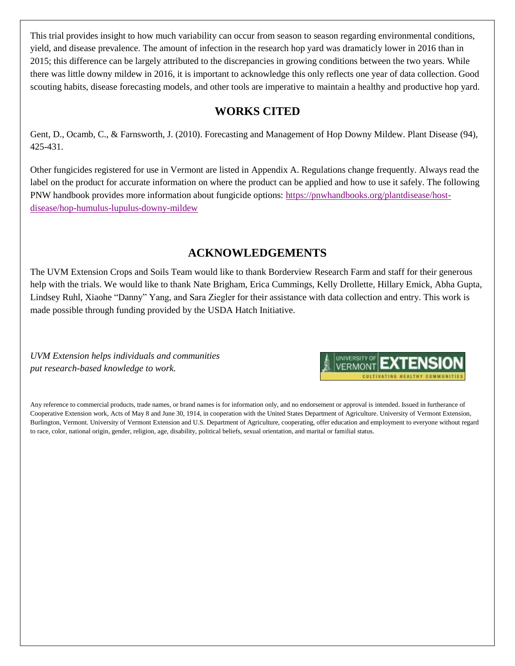This trial provides insight to how much variability can occur from season to season regarding environmental conditions, yield, and disease prevalence. The amount of infection in the research hop yard was dramaticly lower in 2016 than in 2015; this difference can be largely attributed to the discrepancies in growing conditions between the two years. While there was little downy mildew in 2016, it is important to acknowledge this only reflects one year of data collection. Good scouting habits, disease forecasting models, and other tools are imperative to maintain a healthy and productive hop yard.

# **WORKS CITED**

Gent, D., Ocamb, C., & Farnsworth, J. (2010). Forecasting and Management of Hop Downy Mildew. Plant Disease (94), 425-431.

Other fungicides registered for use in Vermont are listed in Appendix A. Regulations change frequently. Always read the label on the product for accurate information on where the product can be applied and how to use it safely. The following PNW handbook provides more information about fungicide options: [https://pnwhandbooks.org/plantdisease/host](https://pnwhandbooks.org/plantdisease/host-disease/hop-humulus-lupulus-downy-mildew)[disease/hop-humulus-lupulus-downy-mildew](https://pnwhandbooks.org/plantdisease/host-disease/hop-humulus-lupulus-downy-mildew)

# **ACKNOWLEDGEMENTS**

The UVM Extension Crops and Soils Team would like to thank Borderview Research Farm and staff for their generous help with the trials. We would like to thank Nate Brigham, Erica Cummings, Kelly Drollette, Hillary Emick, Abha Gupta, Lindsey Ruhl, Xiaohe "Danny" Yang, and Sara Ziegler for their assistance with data collection and entry. This work is made possible through funding provided by the USDA Hatch Initiative.

*UVM Extension helps individuals and communities put research-based knowledge to work.*



Any reference to commercial products, trade names, or brand names is for information only, and no endorsement or approval is intended. Issued in furtherance of Cooperative Extension work, Acts of May 8 and June 30, 1914, in cooperation with the United States Department of Agriculture. University of Vermont Extension, Burlington, Vermont. University of Vermont Extension and U.S. Department of Agriculture, cooperating, offer education and employment to everyone without regard to race, color, national origin, gender, religion, age, disability, political beliefs, sexual orientation, and marital or familial status.